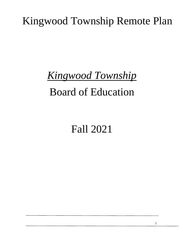# *Kingwood Township* Board of Education

Fall 2021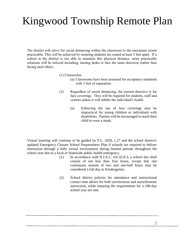The district will strive for social distancing within the classroom to the maximum extent practicable. This will be achieved by ensuring students are seated at least 3 feet apart. If a school in the district is not able to maintain this physical distance, more practicable solutions will be utilized including, turning desks to face the same direction (rather than facing each other).

#### (1) Classrooms

- (a) Classrooms have been assessed for occupancy standards with 3 feet of separation.
- (2) Regardless of social distancing, the current directive is for face coverings. They will be required for students, staff and visitors unless it will inhibit the individual's health.
	- (a) Enforcing the use of face coverings may be impractical for young children or individuals with disabilities. Parents will be encouraged to teach their child to wear a mask.

Virtual learning will continue to be guided by P.L. 2020, c.27 and the school district's updated Emergency Closure School Preparedness Plan if schools are required to deliver instruction through a fully virtual environment during limited periods throughout the school year due to a local or Statewide public health emergency.

- (1) In accordance with N.J.A.C. 6A:32-8.3, a school day shall consist of not less than four hours, except that one continuous session of two and one-half hours may be considered a full day in Kindergarten.
- (2) School district policies for attendance and instructional contact time allows for both synchronous and asynchronous instruction, while ensuring the requirements for a 180-day school year are met.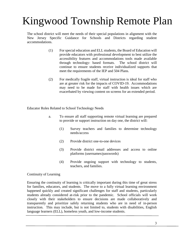The school district will meet the needs of their special populations in alignment with the New Jersey Specific Guidance for Schools and Districts regarding student accommodations.

- (1) For special education and ELL students, the Board of Education will provide educators with professional development to best utilize the accessibility features and accommodations tools made available through technology- based formats. The school district will continue to ensure students receive individualized supports that meet the requirements of the IEP and 504 Plans.
- (2) For medically fragile staff, virtual instruction is ideal for staff who are at greater risk for the impacts of COVID-19. Accommodations may need to be made for staff with health issues which are exacerbated by viewing content on screens for an extended period.

Educator Roles Related to School Technology Needs

- a. To ensure all staff supporting remote virtual learning are prepared to provide or support instruction on day one, the district will:
	- (1) Survey teachers and families to determine technology needs/access
	- (2) Provide district one-to-one devices
	- (3) Provide district email addresses and access to online platforms (usernames/passwords)
	- (4) Provide ongoing support with technology to students, teachers, and families.

#### Continuity of Learning

Ensuring the continuity of learning is critically important during this time of great stress for families, educators, and students. The move to a fully virtual learning environment happened quickly and created significant challenges for staff and students, particularly students already considered at-risk prior to the pandemic. School officials will work closely with their stakeholders to ensure decisions are made collaboratively and transparently and prioritize safely returning students who are in need of in-person instruction. This may include, but is not limited to, students with disabilities, English language learners (ELL), homeless youth, and low-income students.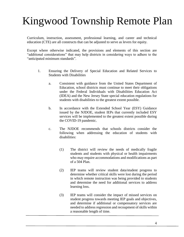Curriculum, instruction, assessment, professional learning, and career and technical education (CTE) are all constructs that can be adjusted to serve as levers for equity.

Except where otherwise indicated, the provisions and elements of this section are "additional considerations" that may help districts in considering ways to adhere to the "anticipated minimum standards".

- 1. Ensuring the Delivery of Special Education and Related Services to Students with Disabilities
	- a. Consistent with guidance from the United States Department of Education, school districts must continue to meet their obligations under the Federal Individuals with Disabilities Education Act (IDEA) and the New Jersey State special education regulations for students with disabilities to the greatest extent possible.
	- b. In accordance with the Extended School Year (ESY) Guidance issued by the NJDOE, student IEPs that currently included ESY services will be implemented to the greatest extent possible during the COVID-19 pandemic.
	- c. The NJDOE recommends that schools districts consider the following when addressing the education of students with disabilities:
		- (1) The district will review the needs of medically fragile students and students with physical or health impairments who may require accommodations and modifications as part of a 504 Plan.
		- (2) IEP teams will review student data/student progress to determine whether critical skills were lost during the period in which remote instruction was being provided to students and determine the need for additional services to address learning loss.
		- (3) IEP teams will consider the impact of missed services on student progress towards meeting IEP goals and objectives, and determine if additional or compensatory services are needed to address regression and recoupment of skills within a reasonable length of time.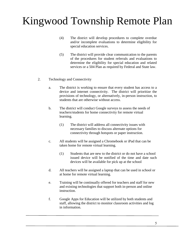- (4) The district will develop procedures to complete overdue and/or incomplete evaluations to determine eligibility for special education services.
- (5) The district will provide clear communication to the parents of the procedures for student referrals and evaluations to determine the eligibility for special education and related services or a 504 Plan as required by Federal and State law.
- 2. Technology and Connectivity
	- a. The district is working to ensure that every student has access to a device and internet connectivity. The district will prioritize the provisions of technology, or alternatively, in-person instruction, to students that are otherwise without access.
	- b. The district will conduct Google surveys to assess the needs of teachers/students for home connectivity for remote virtual learning.
		- (1) The district will address all connectivity issues with necessary families to discuss alternate options for connectivity through hotspots or paper instruction.
	- c. All students will be assigned a Chromebook or iPad that can be taken home for remote virtual learning.
		- (1) Students that are new to the district or do not have a school issued device will be notified of the time and date such devices will be available for pick up at the school
	- d. All teachers will be assigned a laptop that can be used in school or at home for remote virtual learning.
	- e. Training will be continually offered for teachers and staff for new and existing technologies that support both in-person and online instruction.
	- f. Google Apps for Education will be utilized by both students and staff, allowing the district to monitor classroom activities and log in information.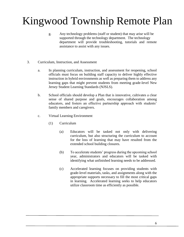- g. Any technology problems (staff or student) that may arise will be supported through the technology department. The technology department will provide troubleshooting, tutorials and remote assistance to assist with any issues.
- 3. Curriculum, Instruction, and Assessment
	- a. In planning curriculum, instruction, and assessment for reopening, school officials must focus on building staff capacity to deliver highly effective instruction in hybrid environments as well as preparing them to address any learning gaps that might prevent students from meeting grade-level New Jersey Student Learning Standards (NJSLS).
	- b. School officials should develop a Plan that is innovative, cultivates a clear sense of shared purpose and goals, encourages collaboration among educators, and fosters an effective partnership approach with students' family members and caregivers.
	- c. Virtual Learning Environment
		- (1) Curriculum
			- (a) Educators will be tasked not only with delivering curriculum, but also structuring the curriculum to account for the loss of learning that may have resulted from the extended school building closures.
			- (b) To accelerate students' progress during the upcoming school year, administrators and educators will be tasked with identifying what unfinished learning needs to be addressed.
			- (c) Accelerated learning focuses on providing students with grade-level materials, tasks, and assignments along with the appropriate supports necessary to fill the most critical gaps in learning. Accelerated learning seeks to help educators utilize classroom time as efficiently as possible.